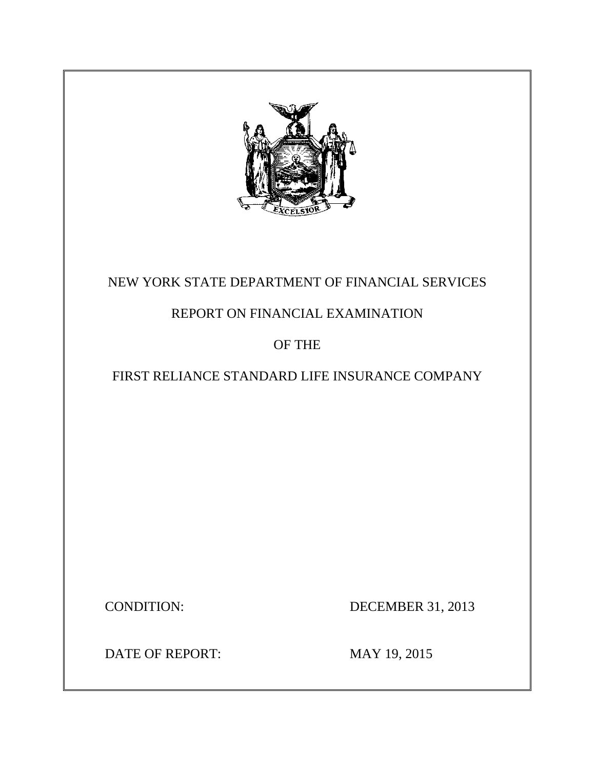

# NEW YORK STATE DEPARTMENT OF FINANCIAL SERVICES

## REPORT ON FINANCIAL EXAMINATION

## OF THE

## FIRST RELIANCE STANDARD LIFE INSURANCE COMPANY

**CONDITION:** 

DECEMBER 31, 2013

DATE OF REPORT: MAY 19, 2015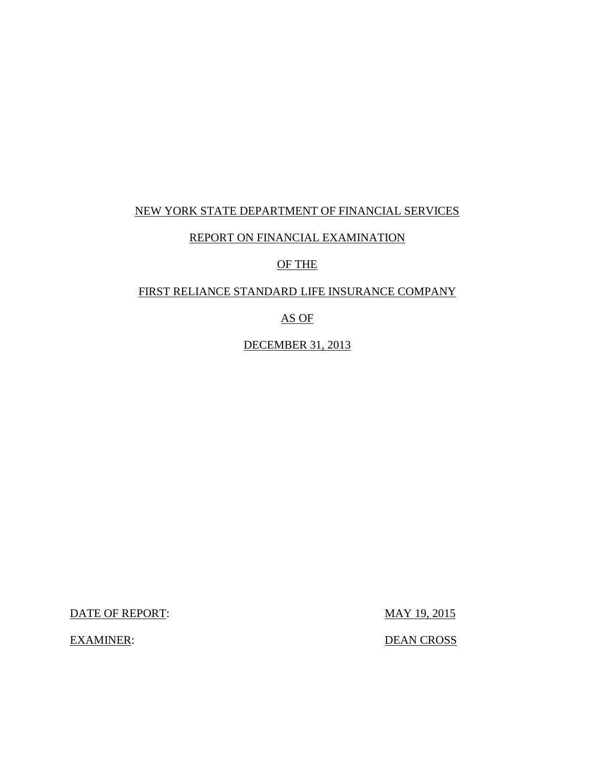## NEW YORK STATE DEPARTMENT OF FINANCIAL SERVICES

## REPORT ON FINANCIAL EXAMINATION

## OF THE

### FIRST RELIANCE STANDARD LIFE INSURANCE COMPANY

AS OF

DECEMBER 31, 2013

DATE OF REPORT: MAY 19, 2015

**EXAMINER:** 

DEAN CROSS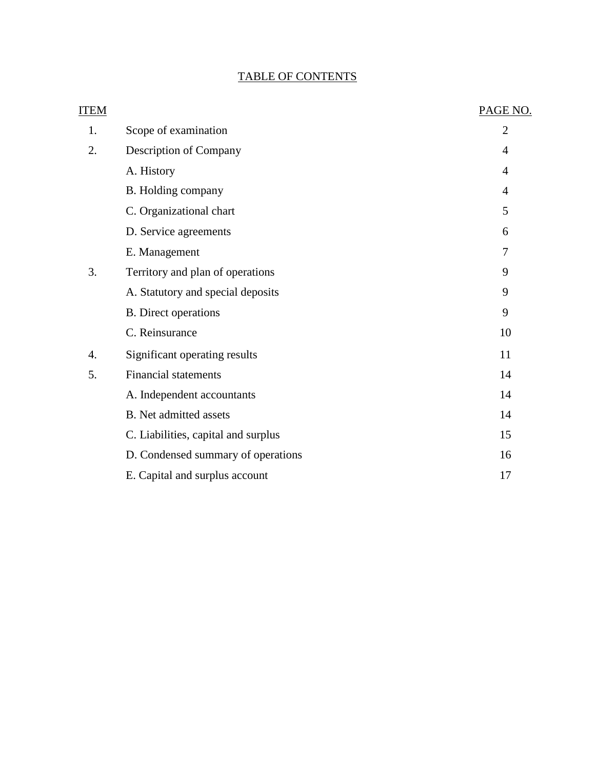## TABLE OF CONTENTS

| <b>ITEM</b> |                                     | PAGE NO.       |
|-------------|-------------------------------------|----------------|
| 1.          | Scope of examination                | $\overline{2}$ |
| 2.          | Description of Company              | 4              |
|             | A. History                          | 4              |
|             | B. Holding company                  | 4              |
|             | C. Organizational chart             | 5              |
|             | D. Service agreements               | 6              |
|             | E. Management                       | 7              |
| 3.          | Territory and plan of operations    | 9              |
|             | A. Statutory and special deposits   | 9              |
|             | <b>B.</b> Direct operations         | 9              |
|             | C. Reinsurance                      | 10             |
| 4.          | Significant operating results       | 11             |
| 5.          | <b>Financial statements</b>         | 14             |
|             | A. Independent accountants          | 14             |
|             | <b>B.</b> Net admitted assets       | 14             |
|             | C. Liabilities, capital and surplus | 15             |
|             | D. Condensed summary of operations  | 16             |
|             | E. Capital and surplus account      | 17             |
|             |                                     |                |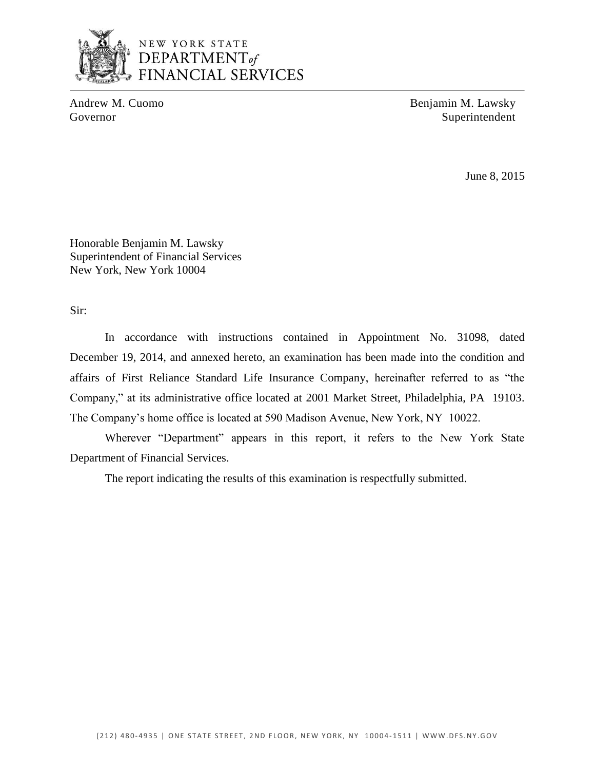

Andrew M. Cuomo Benjamin M. Lawsky Governor Superintendent

June 8, 2015

Honorable Benjamin M. Lawsky Superintendent of Financial Services New York, New York 10004

Sir:

In accordance with instructions contained in Appointment No. 31098, dated In accordance with instructions contained in Appointment No. 31098, dated December 19, 2014, and annexed hereto, an examination has been made into the condition and affairs of First Reliance Standard Life Insurance Company, hereinafter referred to as "the Company," at its administrative office located at 2001 Market Street, Philadelphia, PA 19103. The Company's home office is located at 590 Madison Avenue, New York, NY 10022.

Department of Financial Services. Wherever "Department" appears in this report, it refers to the New York State

The report indicating the results of this examination is respectfully submitted.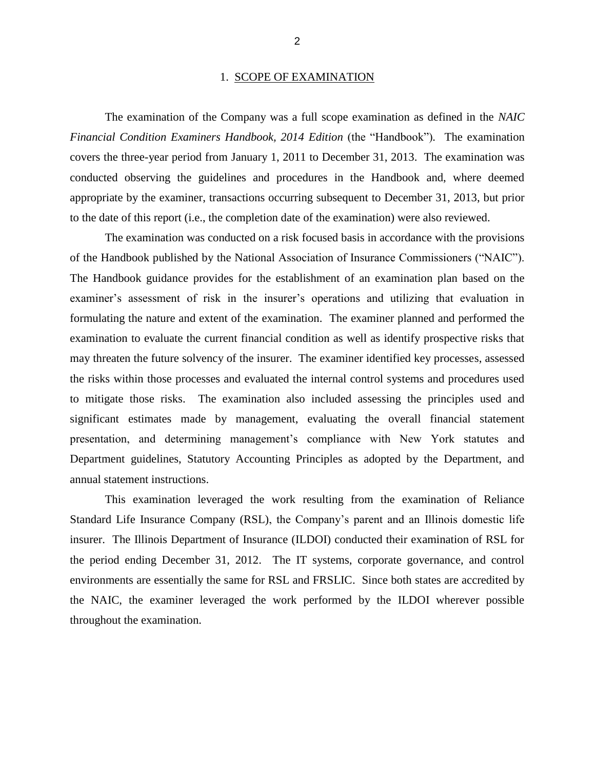#### 1. SCOPE OF EXAMINATION

<span id="page-4-0"></span> *Financial Condition Examiners Handbook, 2014 Edition* (the "Handbook")*.* The examination covers the three-year period from January 1, 2011 to December 31, 2013. The examination was conducted observing the guidelines and procedures in the Handbook and, where deemed appropriate by the examiner, transactions occurring subsequent to December 31, 2013, but prior The examination of the Company was a full scope examination as defined in the *NAIC*  to the date of this report (i.e., the completion date of the examination) were also reviewed.

 of the Handbook published by the National Association of Insurance Commissioners ("NAIC"). examiner's assessment of risk in the insurer's operations and utilizing that evaluation in formulating the nature and extent of the examination. The examiner planned and performed the examination to evaluate the current financial condition as well as identify prospective risks that may threaten the future solvency of the insurer. The examiner identified key processes, assessed to mitigate those risks. The examination also included assessing the principles used and significant estimates made by management, evaluating the overall financial statement presentation, and determining management's compliance with New York statutes and Department guidelines, Statutory Accounting Principles as adopted by the Department, and The examination was conducted on a risk focused basis in accordance with the provisions The Handbook guidance provides for the establishment of an examination plan based on the the risks within those processes and evaluated the internal control systems and procedures used annual statement instructions.

 This examination leveraged the work resulting from the examination of Reliance Standard Life Insurance Company (RSL), the Company's parent and an Illinois domestic life insurer. The Illinois Department of Insurance (ILDOI) conducted their examination of RSL for the period ending December 31, 2012. The IT systems, corporate governance, and control environments are essentially the same for RSL and FRSLIC. Since both states are accredited by the NAIC, the examiner leveraged the work performed by the ILDOI wherever possible throughout the examination.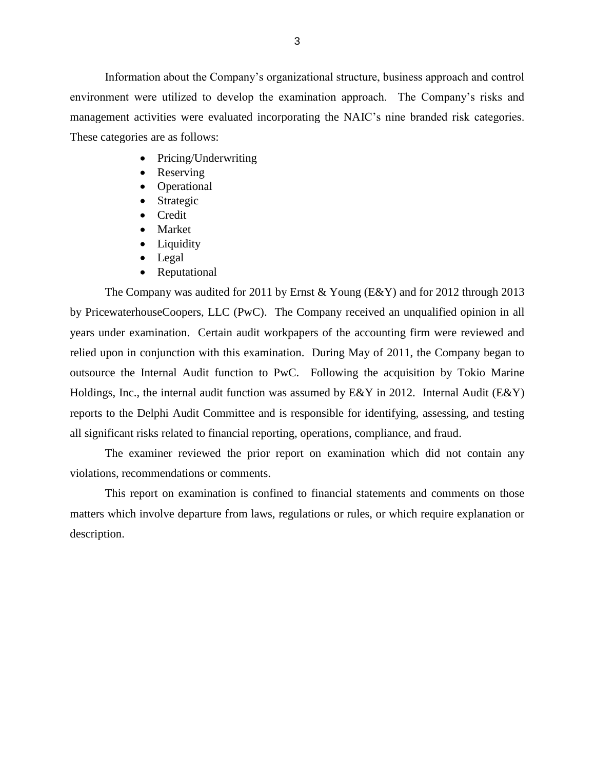environment were utilized to develop the examination approach. The Company's risks and management activities were evaluated incorporating the NAIC's nine branded risk categories. These categories are as follows: Information about the Company's organizational structure, business approach and control

- Pricing/Underwriting
- Reserving
- Operational
- Strategic
- Credit
- Market
- Liquidity
- Legal
- Reputational

 The Company was audited for 2011 by Ernst & Young (E&Y) and for 2012 through 2013 by PricewaterhouseCoopers, LLC (PwC). The Company received an unqualified opinion in all years under examination. Certain audit workpapers of the accounting firm were reviewed and relied upon in conjunction with this examination. During May of 2011, the Company began to outsource the Internal Audit function to PwC. Following the acquisition by Tokio Marine Holdings, Inc., the internal audit function was assumed by  $E\&Y$  in 2012. Internal Audit ( $E\&Y$ ) reports to the Delphi Audit Committee and is responsible for identifying, assessing, and testing all significant risks related to financial reporting, operations, compliance, and fraud.

The examiner reviewed the prior report on examination which did not contain any violations, recommendations or comments.

 matters which involve departure from laws, regulations or rules, or which require explanation or This report on examination is confined to financial statements and comments on those description.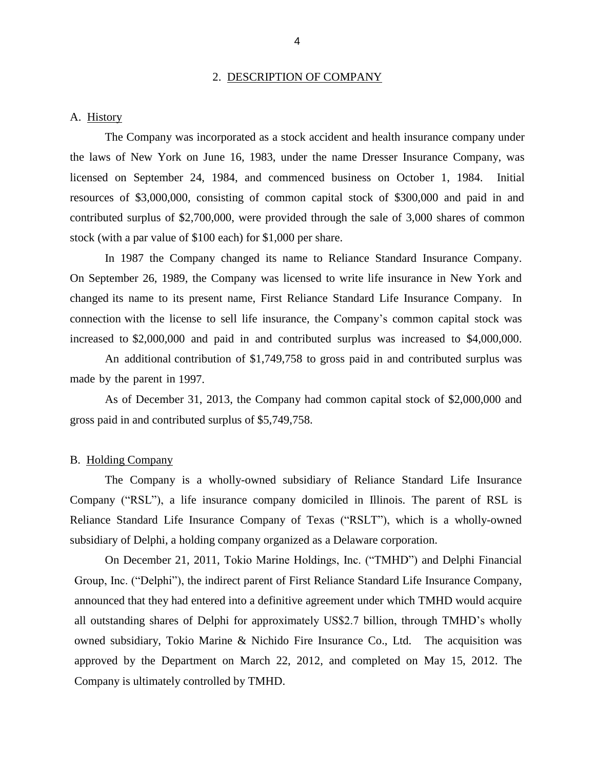#### 2. DESCRIPTION OF COMPANY

#### <span id="page-6-0"></span>A. History

 the laws of New York on June 16, 1983, under the name Dresser Insurance Company, was licensed on September 24, 1984, and commenced business on October 1, 1984. Initial resources of \$3,000,000, consisting of common capital stock of \$300,000 and paid in and The Company was incorporated as a stock accident and health insurance company under contributed surplus of \$2,700,000, were provided through the sale of 3,000 shares of common stock (with a par value of \$100 each) for \$1,000 per share.

 On September 26, 1989, the Company was licensed to write life insurance in New York and changed its name to its present name, First Reliance Standard Life Insurance Company. In connection with the license to sell life insurance, the Company's common capital stock was increased to \$2,000,000 and paid in and contributed surplus was increased to \$4,000,000. In 1987 the Company changed its name to Reliance Standard Insurance Company.

 made by the parent in 1997. An additional contribution of \$1,749,758 to gross paid in and contributed surplus was

As of December 31, 2013, the Company had common capital stock of \$2,000,000 and gross paid in and contributed surplus of \$5,749,758.

#### B. Holding Company

 Company ("RSL"), a life insurance company domiciled in Illinois. The parent of RSL is Reliance Standard Life Insurance Company of Texas ("RSLT"), which is a wholly-owned subsidiary of Delphi, a holding company organized as a Delaware corporation. The Company is a wholly-owned subsidiary of Reliance Standard Life Insurance

 On December 21, 2011, Tokio Marine Holdings, Inc. ("TMHD") and Delphi Financial Group, Inc. ("Delphi"), the indirect parent of First Reliance Standard Life Insurance Company, announced that they had entered into a definitive agreement under which TMHD would acquire all outstanding shares of Delphi for approximately US\$2.7 billion, through TMHD's wholly owned subsidiary, Tokio Marine & Nichido Fire Insurance Co., Ltd. The acquisition was Company is ultimately controlled by TMHD. approved by the Department on March 22, 2012, and completed on May 15, 2012. The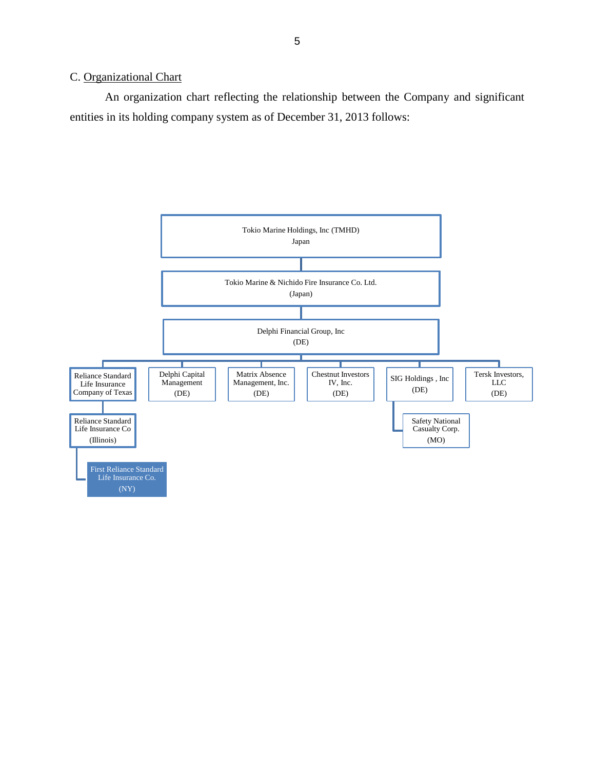## <span id="page-7-0"></span>C. Organizational Chart

An organization chart reflecting the relationship between the Company and significant entities in its holding company system as of December 31, 2013 follows:

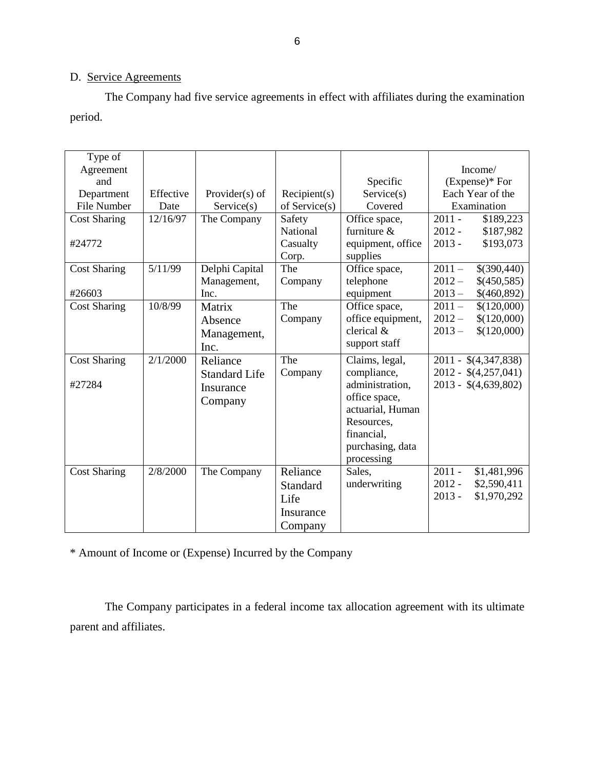## D. Service Agreements

The Company had five service agreements in effect with affiliates during the examination period.

| Type of<br>Agreement |           |                      |               |                   | Income/                 |
|----------------------|-----------|----------------------|---------------|-------------------|-------------------------|
| and                  |           |                      |               | Specific          | (Expense)* For          |
| Department           | Effective | Provider $(s)$ of    | Recipient(s)  | Service(s)        | Each Year of the        |
| File Number          | Date      | Service(s)           | of Service(s) | Covered           | Examination             |
| <b>Cost Sharing</b>  | 12/16/97  | The Company          | Safety        | Office space,     | $2011 -$<br>\$189,223   |
|                      |           |                      | National      | furniture &       | $2012 -$<br>\$187,982   |
| #24772               |           |                      | Casualty      | equipment, office | $2013 -$<br>\$193,073   |
|                      |           |                      | Corp.         | supplies          |                         |
| <b>Cost Sharing</b>  | 5/11/99   | Delphi Capital       | The           | Office space,     | $2011 -$<br>\$(390,440) |
|                      |           | Management,          | Company       | telephone         | $2012 -$<br>\$(450,585) |
| #26603               |           | Inc.                 |               | equipment         | \$(460,892)<br>$2013 -$ |
| <b>Cost Sharing</b>  | 10/8/99   | Matrix               | The           | Office space,     | $2011 -$<br>\$(120,000) |
|                      |           | Absence              | Company       | office equipment, | $2012 -$<br>\$(120,000) |
|                      |           | Management,          |               | clerical &        | $2013 -$<br>\$(120,000) |
|                      |           | Inc.                 |               | support staff     |                         |
| <b>Cost Sharing</b>  | 2/1/2000  | Reliance             | The           | Claims, legal,    | 2011 - \$(4,347,838)    |
|                      |           | <b>Standard Life</b> | Company       | compliance,       | $2012 - $(4,257,041)$   |
| #27284               |           | Insurance            |               | administration.   | $2013 - $(4,639,802)$   |
|                      |           | Company              |               | office space,     |                         |
|                      |           |                      |               | actuarial, Human  |                         |
|                      |           |                      |               | Resources,        |                         |
|                      |           |                      |               | financial,        |                         |
|                      |           |                      |               | purchasing, data  |                         |
|                      |           |                      |               | processing        |                         |
| <b>Cost Sharing</b>  | 2/8/2000  | The Company          | Reliance      | Sales,            | $2011 -$<br>\$1,481,996 |
|                      |           |                      | Standard      | underwriting      | $2012 -$<br>\$2,590,411 |
|                      |           |                      | Life          |                   | $2013 -$<br>\$1,970,292 |
|                      |           |                      | Insurance     |                   |                         |
|                      |           |                      | Company       |                   |                         |

\* Amount of Income or (Expense) Incurred by the Company

 The Company participates in a federal income tax allocation agreement with its ultimate parent and affiliates.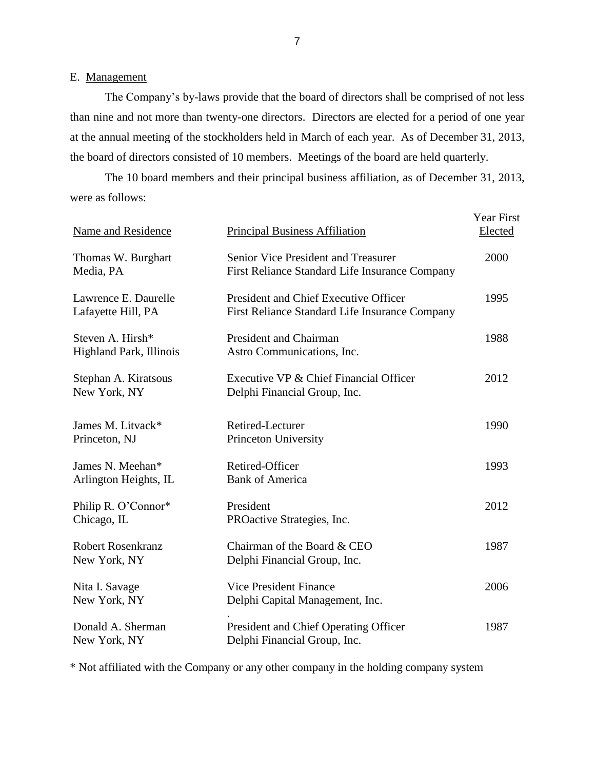### <span id="page-9-0"></span>E. Management

 The Company's by-laws provide that the board of directors shall be comprised of not less than nine and not more than twenty-one directors. Directors are elected for a period of one year at the annual meeting of the stockholders held in March of each year. As of December 31, 2013, the board of directors consisted of 10 members. Meetings of the board are held quarterly.

 were as follows: The 10 board members and their principal business affiliation, as of December 31, 2013,

| <b>Name and Residence</b>                   | <b>Principal Business Affiliation</b>                                                   | <b>Year First</b><br>Elected |
|---------------------------------------------|-----------------------------------------------------------------------------------------|------------------------------|
| Thomas W. Burghart<br>Media, PA             | Senior Vice President and Treasurer<br>First Reliance Standard Life Insurance Company   | 2000                         |
| Lawrence E. Daurelle<br>Lafayette Hill, PA  | President and Chief Executive Officer<br>First Reliance Standard Life Insurance Company | 1995                         |
| Steven A. Hirsh*<br>Highland Park, Illinois | <b>President and Chairman</b><br>Astro Communications, Inc.                             | 1988                         |
| Stephan A. Kiratsous<br>New York, NY        | Executive VP & Chief Financial Officer<br>Delphi Financial Group, Inc.                  | 2012                         |
| James M. Litvack*<br>Princeton, NJ          | Retired-Lecturer<br>Princeton University                                                | 1990                         |
| James N. Meehan*<br>Arlington Heights, IL   | Retired-Officer<br><b>Bank of America</b>                                               | 1993                         |
| Philip R. O'Connor*<br>Chicago, IL          | President<br>PROactive Strategies, Inc.                                                 | 2012                         |
| <b>Robert Rosenkranz</b><br>New York, NY    | Chairman of the Board & CEO<br>Delphi Financial Group, Inc.                             | 1987                         |
| Nita I. Savage<br>New York, NY              | <b>Vice President Finance</b><br>Delphi Capital Management, Inc.                        | 2006                         |
| Donald A. Sherman<br>New York, NY           | President and Chief Operating Officer<br>Delphi Financial Group, Inc.                   | 1987                         |

\* Not affiliated with the Company or any other company in the holding company system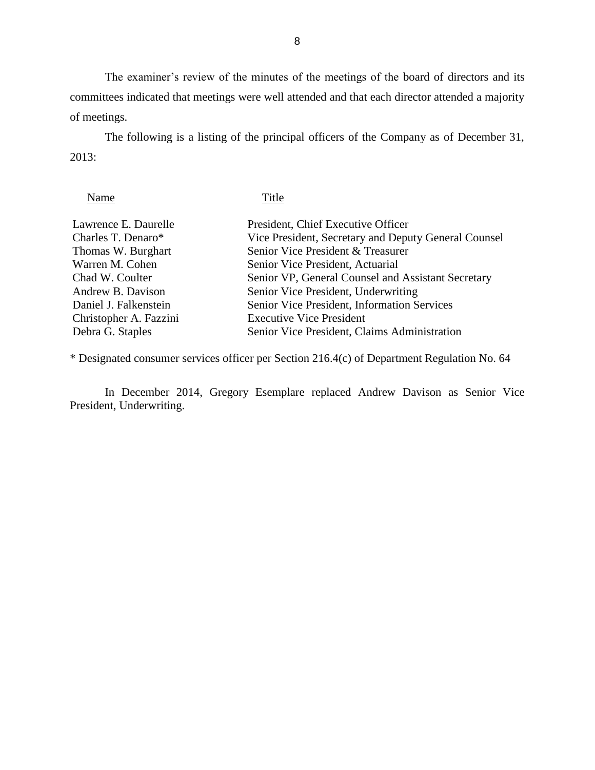The examiner's review of the minutes of the meetings of the board of directors and its committees indicated that meetings were well attended and that each director attended a majority of meetings.

The following is a listing of the principal officers of the Company as of December 31, 2013:

| Name                   | Title                                                |
|------------------------|------------------------------------------------------|
| Lawrence E. Daurelle   | President, Chief Executive Officer                   |
| Charles T. Denaro*     | Vice President, Secretary and Deputy General Counsel |
| Thomas W. Burghart     | Senior Vice President & Treasurer                    |
| Warren M. Cohen        | Senior Vice President, Actuarial                     |
| Chad W. Coulter        | Senior VP, General Counsel and Assistant Secretary   |
| Andrew B. Davison      | Senior Vice President, Underwriting                  |
| Daniel J. Falkenstein  | Senior Vice President, Information Services          |
| Christopher A. Fazzini | <b>Executive Vice President</b>                      |
| Debra G. Staples       | Senior Vice President, Claims Administration         |

\* Designated consumer services officer per Section 216.4(c) of Department Regulation No. 64

 In December 2014, Gregory Esemplare replaced Andrew Davison as Senior Vice President, Underwriting.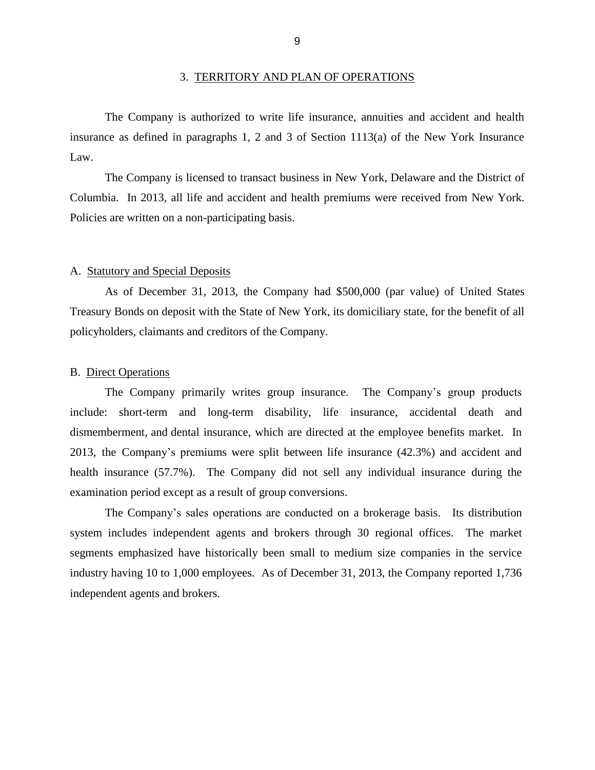<span id="page-11-0"></span> insurance as defined in paragraphs 1, 2 and 3 of Section 1113(a) of the New York Insurance The Company is authorized to write life insurance, annuities and accident and health Law.

 Columbia. In 2013, all life and accident and health premiums were received from New York. The Company is licensed to transact business in New York, Delaware and the District of Policies are written on a non-participating basis.

#### A. Statutory and Special Deposits

 As of December 31, 2013, the Company had \$500,000 (par value) of United States Treasury Bonds on deposit with the State of New York, its domiciliary state, for the benefit of all policyholders, claimants and creditors of the Company.

#### B. Direct Operations

 include: short-term and long-term disability, life insurance, accidental death and dismemberment, and dental insurance, which are directed at the employee benefits market. In 2013, the Company's premiums were split between life insurance (42.3%) and accident and health insurance (57.7%). The Company did not sell any individual insurance during the examination period except as a result of group conversions. The Company primarily writes group insurance. The Company's group products

 system includes independent agents and brokers through 30 regional offices. The market segments emphasized have historically been small to medium size companies in the service industry having 10 to 1,000 employees. As of December 31, 2013, the Company reported 1,736 The Company's sales operations are conducted on a brokerage basis. Its distribution independent agents and brokers.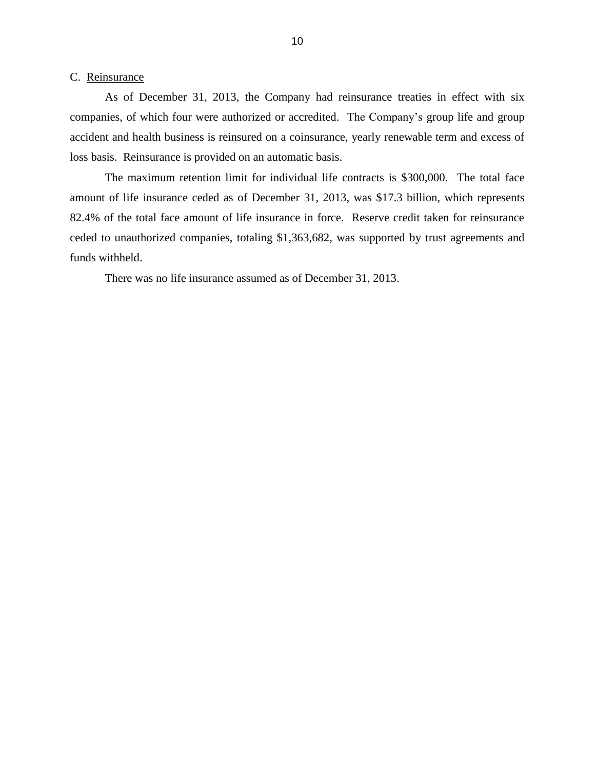#### <span id="page-12-0"></span>C. Reinsurance

 As of December 31, 2013, the Company had reinsurance treaties in effect with six companies, of which four were authorized or accredited. The Company's group life and group accident and health business is reinsured on a coinsurance, yearly renewable term and excess of loss basis. Reinsurance is provided on an automatic basis.

 amount of life insurance ceded as of December 31, 2013, was \$17.3 billion, which represents 82.4% of the total face amount of life insurance in force. Reserve credit taken for reinsurance The maximum retention limit for individual life contracts is \$300,000. The total face ceded to unauthorized companies, totaling \$1,363,682, was supported by trust agreements and funds withheld.

There was no life insurance assumed as of December 31, 2013.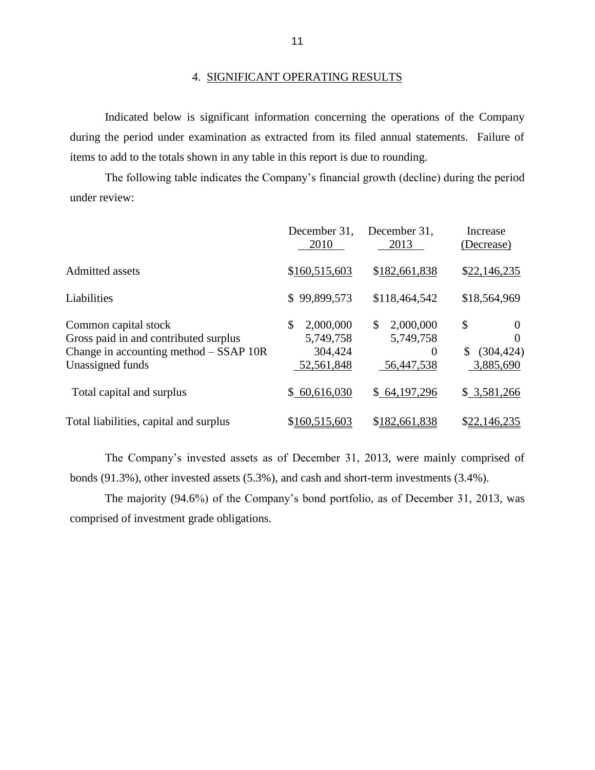#### 4. SIGNIFICANT OPERATING RESULTS

 during the period under examination as extracted from its filed annual statements. Failure of Indicated below is significant information concerning the operations of the Company items to add to the totals shown in any table in this report is due to rounding.

 The following table indicates the Company's financial growth (decline) during the period under review:

|                                                                                                                               | December 31,<br>2010                                  | December 31,<br>2013                                   | Increase<br>(Decrease)                               |
|-------------------------------------------------------------------------------------------------------------------------------|-------------------------------------------------------|--------------------------------------------------------|------------------------------------------------------|
| <b>Admitted</b> assets                                                                                                        | \$160,515,603                                         | \$182,661,838                                          | \$22,146,235                                         |
| Liabilities                                                                                                                   | \$99,899,573                                          | \$118,464,542                                          | \$18,564,969                                         |
| Common capital stock<br>Gross paid in and contributed surplus<br>Change in accounting method $-$ SSAP 10R<br>Unassigned funds | \$<br>2,000,000<br>5,749,758<br>304,424<br>52,561,848 | \$<br>2,000,000<br>5,749,758<br>$\Omega$<br>56,447,538 | \$<br>$\theta$<br>0<br>(304, 424)<br>S.<br>3,885,690 |
| Total capital and surplus                                                                                                     | \$60,616,030                                          | \$64,197,296                                           | \$3,581,266                                          |
| Total liabilities, capital and surplus                                                                                        | \$160,515,603                                         | \$182,661,838                                          | \$22,146,235                                         |

 The Company's invested assets as of December 31, 2013, were mainly comprised of bonds (91.3%), other invested assets (5.3%), and cash and short-term investments (3.4%).

The majority (94.6%) of the Company's bond portfolio, as of December 31, 2013, was comprised of investment grade obligations.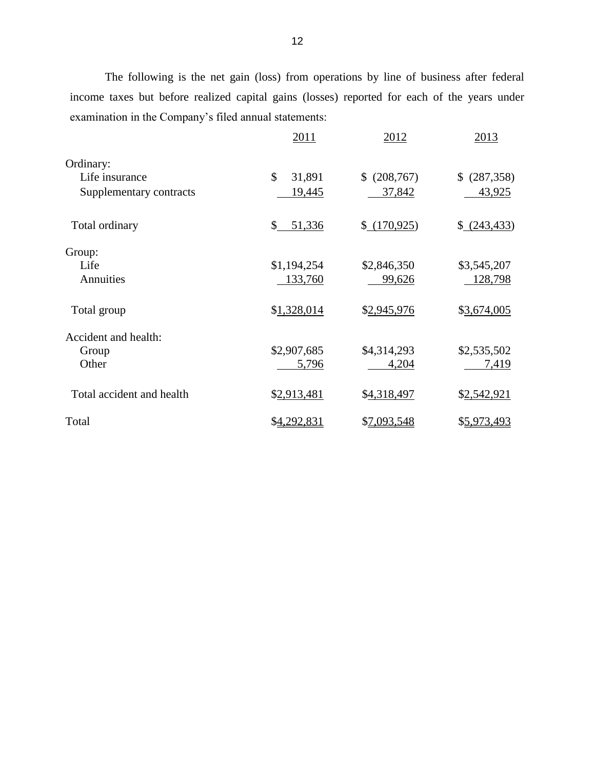The following is the net gain (loss) from operations by line of business after federal income taxes but before realized capital gains (losses) reported for each of the years under examination in the Company's filed annual statements:

|                           | 2011         | 2012         | 2013         |
|---------------------------|--------------|--------------|--------------|
| Ordinary:                 |              |              |              |
| Life insurance            | \$<br>31,891 | \$ (208,767) | \$ (287,358) |
| Supplementary contracts   | 19,445       | 37,842       | 43,925       |
| Total ordinary            | 51,336<br>\$ | \$(170, 925) | (243, 433)   |
| Group:                    |              |              |              |
| Life                      | \$1,194,254  | \$2,846,350  | \$3,545,207  |
| Annuities                 | 133,760      | 99,626       | 128,798      |
| Total group               | \$1,328,014  | \$2,945,976  | \$3,674,005  |
| Accident and health:      |              |              |              |
| Group                     | \$2,907,685  | \$4,314,293  | \$2,535,502  |
| Other                     | 5,796        | 4,204        | 7,419        |
| Total accident and health | \$2,913,481  | \$4,318,497  | \$2,542,921  |
| Total                     | \$4,292,831  | \$7,093,548  | \$5,973,493  |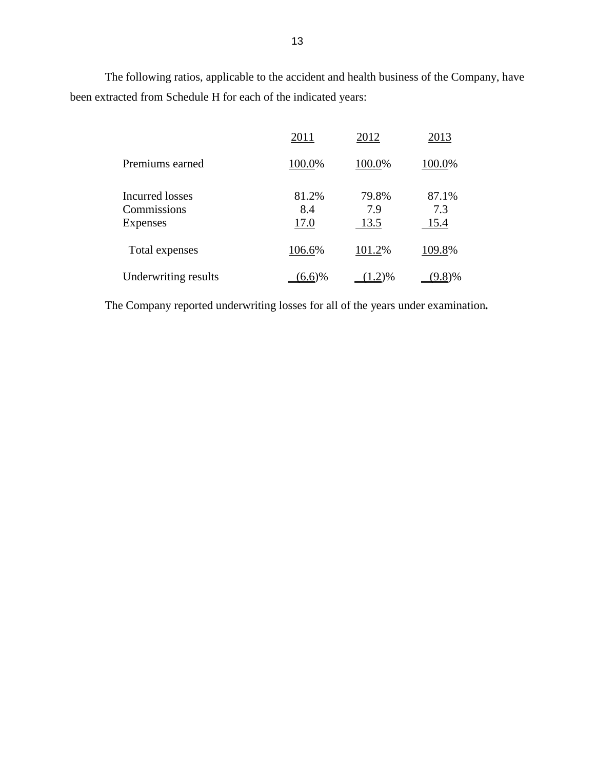The following ratios, applicable to the accident and health business of the Company, have been extracted from Schedule H for each of the indicated years:

|                                            | 2011                 | 2012                 | 2013                 |
|--------------------------------------------|----------------------|----------------------|----------------------|
| Premiums earned                            | 100.0%               | 100.0%               | 100.0%               |
| Incurred losses<br>Commissions<br>Expenses | 81.2%<br>8.4<br>17.0 | 79.8%<br>7.9<br>13.5 | 87.1%<br>7.3<br>15.4 |
| Total expenses                             | 106.6%               | 101.2%               | 109.8%               |
| Underwriting results                       | 6.6%                 | (2)%                 | (9.8)%               |

The Company reported underwriting losses for all of the years under examination*.*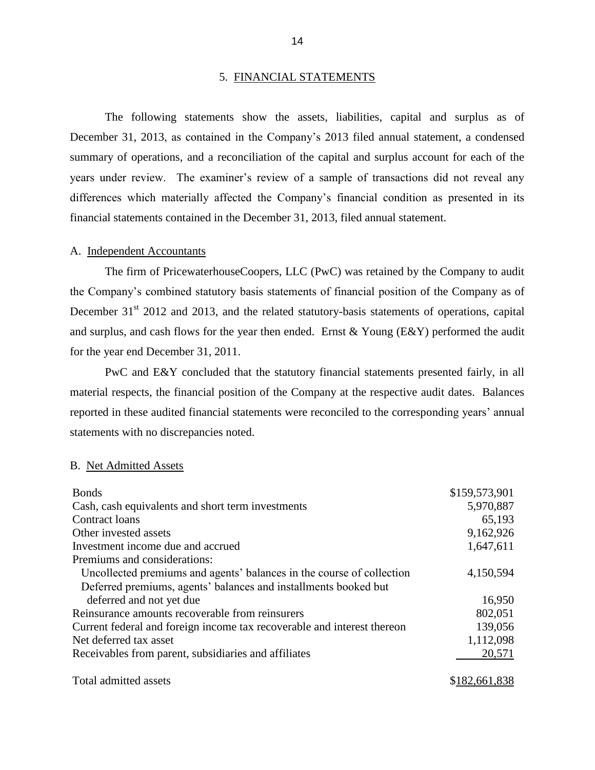#### 5. FINANCIAL STATEMENTS

 December 31, 2013, as contained in the Company's 2013 filed annual statement, a condensed summary of operations, and a reconciliation of the capital and surplus account for each of the years under review. The examiner's review of a sample of transactions did not reveal any The following statements show the assets, liabilities, capital and surplus as of differences which materially affected the Company's financial condition as presented in its financial statements contained in the December 31, 2013, filed annual statement.

#### A. Independent Accountants

 the Company's combined statutory basis statements of financial position of the Company as of and surplus, and cash flows for the year then ended. Ernst  $& Young (E&Y)$  performed the audit The firm of PricewaterhouseCoopers, LLC (PwC) was retained by the Company to audit December 31<sup>st</sup> 2012 and 2013, and the related statutory-basis statements of operations, capital for the year end December 31, 2011.

 material respects, the financial position of the Company at the respective audit dates. Balances reported in these audited financial statements were reconciled to the corresponding years' annual PwC and E&Y concluded that the statutory financial statements presented fairly, in all statements with no discrepancies noted.

#### B. Net Admitted Assets

| <b>Bonds</b>                                                            | \$159,573,901 |
|-------------------------------------------------------------------------|---------------|
| Cash, cash equivalents and short term investments                       | 5,970,887     |
| Contract loans                                                          | 65,193        |
| Other invested assets                                                   | 9,162,926     |
| Investment income due and accrued                                       | 1,647,611     |
| Premiums and considerations:                                            |               |
| Uncollected premiums and agents' balances in the course of collection   | 4,150,594     |
| Deferred premiums, agents' balances and installments booked but         |               |
| deferred and not yet due                                                | 16,950        |
| Reinsurance amounts recoverable from reinsurers                         | 802,051       |
| Current federal and foreign income tax recoverable and interest thereon | 139,056       |
| Net deferred tax asset                                                  | 1,112,098     |
| Receivables from parent, subsidiaries and affiliates                    | 20,571        |
| Total admitted assets                                                   | \$182,661,838 |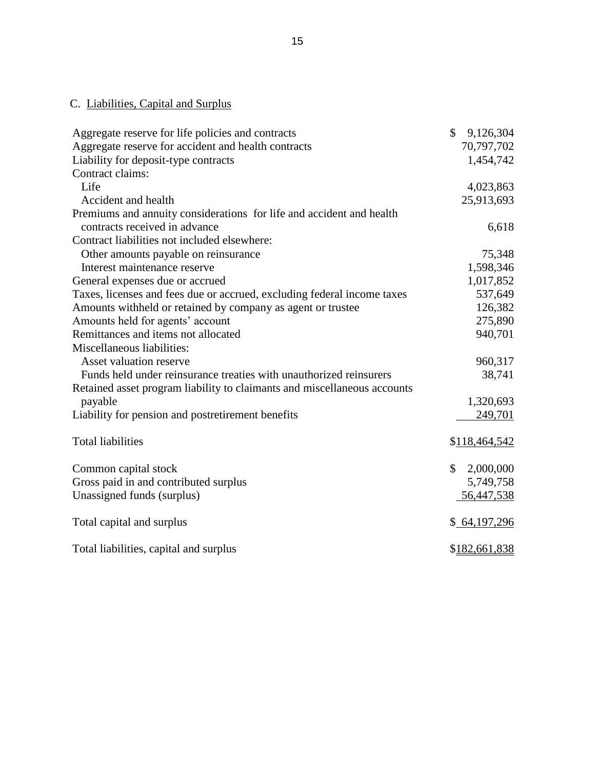## C. Liabilities, Capital and Surplus

| Aggregate reserve for life policies and contracts                        | $\mathcal{S}$<br>9,126,304 |
|--------------------------------------------------------------------------|----------------------------|
| Aggregate reserve for accident and health contracts                      | 70,797,702                 |
| Liability for deposit-type contracts                                     | 1,454,742                  |
| Contract claims:                                                         |                            |
| Life                                                                     | 4,023,863                  |
| Accident and health                                                      | 25,913,693                 |
| Premiums and annuity considerations for life and accident and health     |                            |
| contracts received in advance                                            | 6,618                      |
| Contract liabilities not included elsewhere:                             |                            |
| Other amounts payable on reinsurance                                     | 75,348                     |
| Interest maintenance reserve                                             | 1,598,346                  |
| General expenses due or accrued                                          | 1,017,852                  |
| Taxes, licenses and fees due or accrued, excluding federal income taxes  | 537,649                    |
| Amounts withheld or retained by company as agent or trustee              | 126,382                    |
| Amounts held for agents' account                                         | 275,890                    |
| Remittances and items not allocated                                      | 940,701                    |
| Miscellaneous liabilities:                                               |                            |
| Asset valuation reserve                                                  | 960,317                    |
| Funds held under reinsurance treaties with unauthorized reinsurers       | 38,741                     |
| Retained asset program liability to claimants and miscellaneous accounts |                            |
| payable                                                                  | 1,320,693                  |
| Liability for pension and postretirement benefits                        | 249,701                    |
|                                                                          |                            |
| <b>Total liabilities</b>                                                 | \$118,464,542              |
|                                                                          |                            |
| Common capital stock                                                     | \$<br>2,000,000            |
| Gross paid in and contributed surplus                                    | 5,749,758                  |
| Unassigned funds (surplus)                                               | 56,447,538                 |
|                                                                          |                            |
| Total capital and surplus                                                | \$64,197,296               |
|                                                                          |                            |
| Total liabilities, capital and surplus                                   | \$182,661,838              |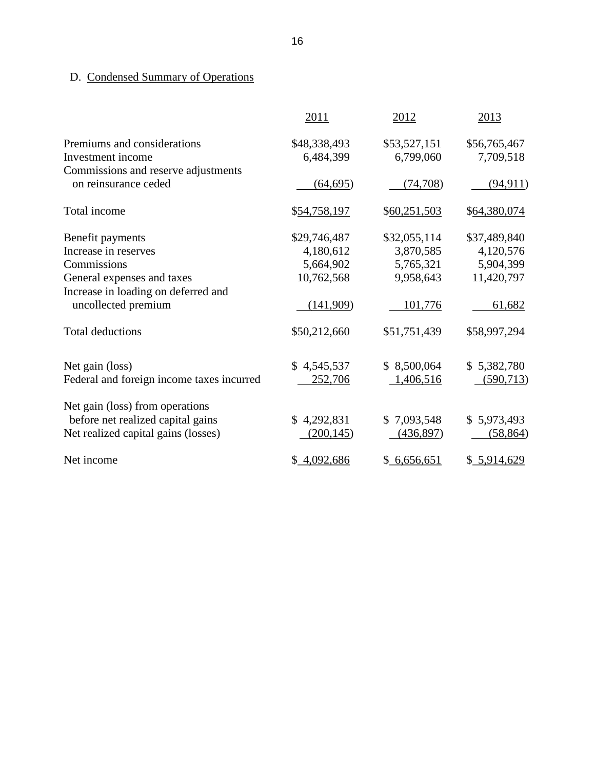# D. Condensed Summary of Operations

|                                                                      | 2011                      | 2012                      | 2013                      |
|----------------------------------------------------------------------|---------------------------|---------------------------|---------------------------|
| Premiums and considerations<br>Investment income                     | \$48,338,493<br>6,484,399 | \$53,527,151<br>6,799,060 | \$56,765,467<br>7,709,518 |
| Commissions and reserve adjustments<br>on reinsurance ceded          | (64, 695)                 | (74, 708)                 | (94, 911)                 |
| Total income                                                         | \$54,758,197              | \$60,251,503              | \$64,380,074              |
| Benefit payments                                                     | \$29,746,487              | \$32,055,114              | \$37,489,840              |
| Increase in reserves                                                 | 4,180,612                 | 3,870,585                 | 4,120,576                 |
| Commissions                                                          | 5,664,902                 | 5,765,321                 | 5,904,399                 |
| General expenses and taxes                                           | 10,762,568                | 9,958,643                 | 11,420,797                |
| Increase in loading on deferred and<br>uncollected premium           | (141,909)                 | 101,776                   | 61,682                    |
| <b>Total deductions</b>                                              | \$50,212,660              | \$51,751,439              | \$58,997,294              |
| Net gain (loss)                                                      | \$4,545,537               | \$8,500,064               | \$5,382,780               |
| Federal and foreign income taxes incurred                            | 252,706                   | 1,406,516                 | (590, 713)                |
| Net gain (loss) from operations<br>before net realized capital gains | \$4,292,831               | \$7,093,548               | \$5,973,493               |
| Net realized capital gains (losses)                                  | (200, 145)                | (436,897)                 | (58, 864)                 |
| Net income                                                           | \$4,092,686               | \$6,656,651               | \$ 5,914,629              |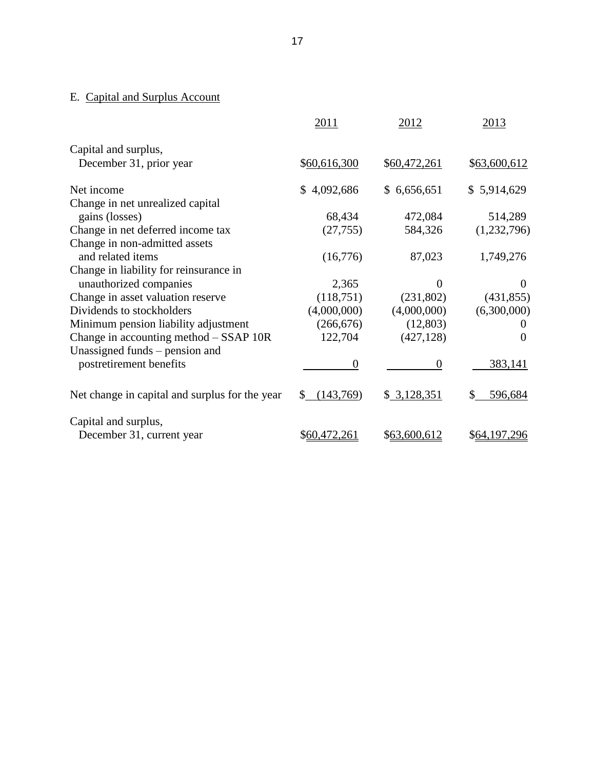#### **E.** Capital and Surplus Account

|                                                | 2011            | 2012         | 2013         |
|------------------------------------------------|-----------------|--------------|--------------|
| Capital and surplus,                           |                 |              |              |
| December 31, prior year                        | \$60,616,300    | \$60,472,261 | \$63,600,612 |
| Net income                                     | 4,092,686<br>\$ | \$6,656,651  | \$5,914,629  |
| Change in net unrealized capital               |                 |              |              |
| gains (losses)                                 | 68,434          | 472,084      | 514,289      |
| Change in net deferred income tax              | (27, 755)       | 584,326      | (1,232,796)  |
| Change in non-admitted assets                  |                 |              |              |
| and related items                              | (16,776)        | 87,023       | 1,749,276    |
| Change in liability for reinsurance in         |                 |              |              |
| unauthorized companies                         | 2,365           | 0            | $\theta$     |
| Change in asset valuation reserve              | (118,751)       | (231,802)    | (431, 855)   |
| Dividends to stockholders                      | (4,000,000)     | (4,000,000)  | (6,300,000)  |
| Minimum pension liability adjustment           | (266, 676)      | (12, 803)    |              |
| Change in accounting method $-$ SSAP 10R       | 122,704         | (427, 128)   | $\Omega$     |
| Unassigned funds – pension and                 |                 |              |              |
| postretirement benefits                        | $\theta$        | $\Omega$     | 383,141      |
| Net change in capital and surplus for the year | (143,769)<br>S. | \$3,128,351  | 596,684      |
| Capital and surplus,                           |                 |              |              |
| December 31, current year                      | \$60,472,261    | \$63,600,612 | \$64,197,296 |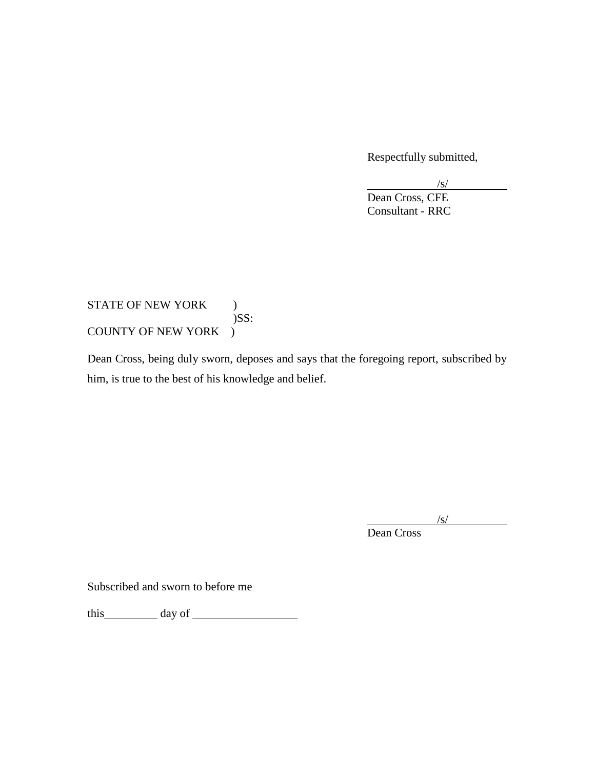Respectfully submitted,

 Consultant - RRC /s/ Dean Cross, CFE

## STATE OF NEW YORK ) COUNTY OF NEW YORK ) )SS:

COUNTY OF NEW YORK )<br>Dean Cross, being duly sworn, deposes and says that the foregoing report, subscribed by him, is true to the best of his knowledge and belief.

> $/s/$ Dean Cross

Subscribed and sworn to before me

this day of